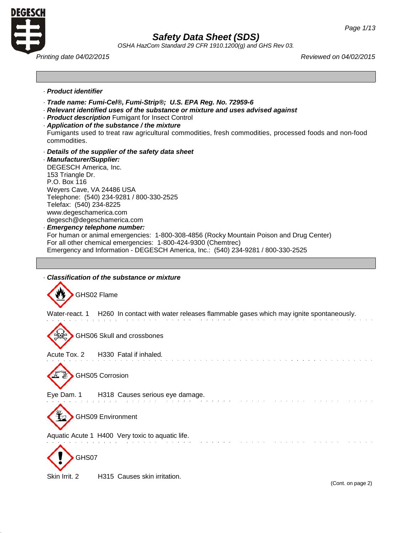

*OSHA HazCom Standard 29 CFR 1910.1200(g) and GHS Rev 03.*

*Printing date 04/02/2015 Reviewed on 04/02/2015*

- · *Product identifier*
- · *Trade name: Fumi-Cel®, Fumi-Strip®; U.S. EPA Reg. No. 72959-6*
- · *Relevant identified uses of the substance or mixture and uses advised against*
- · *Product description* Fumigant for Insect Control
- · *Application of the substance / the mixture*
- Fumigants used to treat raw agricultural commodities, fresh commodities, processed foods and non-food commodities.
- · *Details of the supplier of the safety data sheet*

· *Manufacturer/Supplier:* DEGESCH America, Inc. 153 Triangle Dr. P.O. Box 116 Weyers Cave, VA 24486 USA Telephone: (540) 234-9281 / 800-330-2525 Telefax: (540) 234-8225 [www.degeschamerica.com](http://www.degeschamerica.com/) [degesch@degeschamerica.com](mailto:degesch@degeschamerica.com) · *Emergency telephone number:* For human or animal emergencies: 1-800-308-4856 (Rocky Mountain Poison and Drug Center) For all other chemical emergencies: 1-800-424-9300 (Chemtrec)

- Emergency and Information DEGESCH America, Inc.: (540) 234-9281 / 800-330-2525
- · *Classification of the substance or mixture*



Skin Irrit. 2 H315 Causes skin irritation.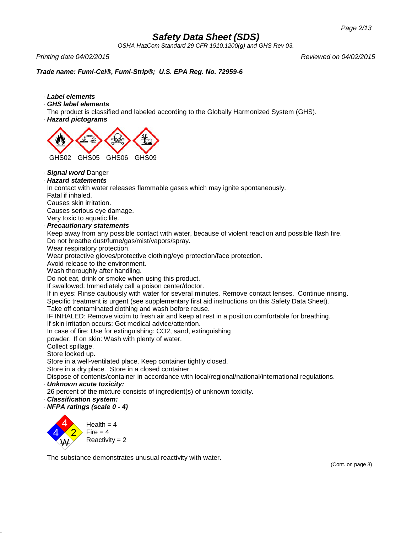*OSHA HazCom Standard 29 CFR 1910.1200(g) and GHS Rev 03.*

*Printing date 04/02/2015 Reviewed on 04/02/2015*

# *Trade name: Fumi-Cel®, Fumi-Strip®; U.S. EPA Reg. No. 72959-6*

- · *Label elements*
- · *GHS label elements*

The product is classified and labeled according to the Globally Harmonized System (GHS).

· *Hazard pictograms*



· *Signal word* Danger

## · *Hazard statements*

In contact with water releases flammable gases which may ignite spontaneously.

Fatal if inhaled.

Causes skin irritation.

Causes serious eye damage.

Very toxic to aquatic life.

## · *Precautionary statements*

Keep away from any possible contact with water, because of violent reaction and possible flash fire. Do not breathe dust/fume/gas/mist/vapors/spray.

Wear respiratory protection.

Wear protective gloves/protective clothing/eye protection/face protection.

Avoid release to the environment.

Wash thoroughly after handling.

Do not eat, drink or smoke when using this product.

If swallowed: Immediately call a poison center/doctor.

If in eyes: Rinse cautiously with water for several minutes. Remove contact lenses. Continue rinsing. Specific treatment is urgent (see supplementary first aid instructions on this Safety Data Sheet).

Take off contaminated clothing and wash before reuse.

IF INHALED: Remove victim to fresh air and keep at rest in a position comfortable for breathing.

If skin irritation occurs: Get medical advice/attention.

In case of fire: Use for extinguishing: CO2, sand, extinguishing

powder. If on skin: Wash with plenty of water.

Collect spillage.

Store locked up.

Store in a well-ventilated place. Keep container tightly closed.

Store in a dry place. Store in a closed container.

Dispose of contents/container in accordance with local/regional/national/international regulations.

# · *Unknown acute toxicity:*

26 percent of the mixture consists of ingredient(s) of unknown toxicity.

· *Classification system:*

· *NFPA ratings (scale 0 - 4)*



The substance demonstrates unusual reactivity with water.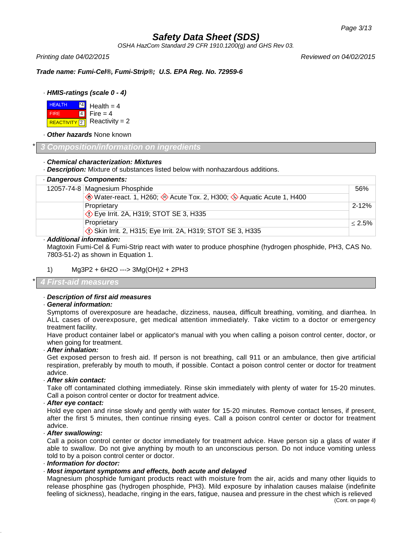*OSHA HazCom Standard 29 CFR 1910.1200(g) and GHS Rev 03.*

*Printing date 04/02/2015 Reviewed on 04/02/2015*

*Trade name: Fumi-Cel®, Fumi-Strip®; U.S. EPA Reg. No. 72959-6*

# · *HMIS-ratings (scale 0 - 4)*

**HEALTH** \*4 Health  $= 4$ FIRE 4 Fire  $= 4$  $Reactivity = 2$ REACTIVITY<sup>2</sup>

· *Other hazards* None known

## \* *3 Composition/information on ingredients*

### · *Chemical characterization: Mixtures*

· *Description:* Mixture of substances listed below with nonhazardous additions.

| · Dangerous Components:                                         |           |
|-----------------------------------------------------------------|-----------|
| 12057-74-8 Magnesium Phosphide                                  | 56%       |
| Water-react. 1, H260; Acute Tox. 2, H300; Aquatic Acute 1, H400 |           |
| Proprietary                                                     | $2 - 12%$ |
| <b>Eye Irrit. 2A, H319; STOT SE 3, H335</b>                     |           |
| Proprietary                                                     | $< 2.5\%$ |
| Skin Irrit. 2, H315; Eye Irrit. 2A, H319; STOT SE 3, H335       |           |
| Additional information,                                         |           |

### · *Additional information:*

Magtoxin Fumi-Cel & Fumi-Strip react with water to produce phosphine (hydrogen phosphide, PH3, CAS No. 7803-51-2) as shown in Equation 1.

1) Mg3P2 + 6H2O ---> 3Mg(OH)2 + 2PH3

\* *4 First-aid measures*

## · *Description of first aid measures*

### · *General information:*

Symptoms of overexposure are headache, dizziness, nausea, difficult breathing, vomiting, and diarrhea. In ALL cases of overexposure, get medical attention immediately. Take victim to a doctor or emergency treatment facility.

Have product container label or applicator's manual with you when calling a poison control center, doctor, or when going for treatment.

#### · *After inhalation:*

Get exposed person to fresh aid. If person is not breathing, call 911 or an ambulance, then give artificial respiration, preferably by mouth to mouth, if possible. Contact a poison control center or doctor for treatment advice.

## · *After skin contact:*

Take off contaminated clothing immediately. Rinse skin immediately with plenty of water for 15-20 minutes. Call a poison control center or doctor for treatment advice.

## · *After eye contact:*

Hold eye open and rinse slowly and gently with water for 15-20 minutes. Remove contact lenses, if present, after the first 5 minutes, then continue rinsing eyes. Call a poison control center or doctor for treatment advice.

## · *After swallowing:*

Call a poison control center or doctor immediately for treatment advice. Have person sip a glass of water if able to swallow. Do not give anything by mouth to an unconscious person. Do not induce vomiting unless told to by a poison control center or doctor.

## · *Information for doctor:*

## · *Most important symptoms and effects, both acute and delayed*

Magnesium phosphide fumigant products react with moisture from the air, acids and many other liquids to release phosphine gas (hydrogen phosphide, PH3). Mild exposure by inhalation causes malaise (indefinite feeling of sickness), headache, ringing in the ears, fatigue, nausea and pressure in the chest which is relieved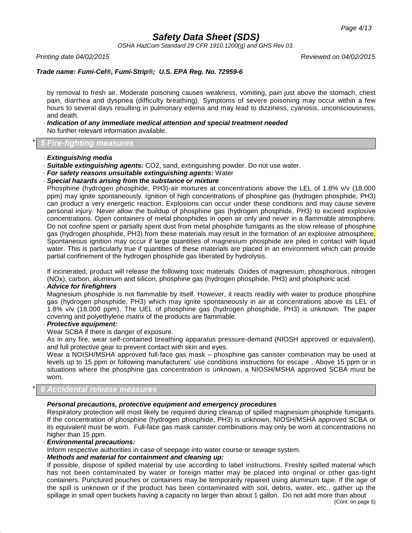*OSHA HazCom Standard 29 CFR 1910.1200(g) and GHS Rev 03.*

*Printing date 04/02/2015 Reviewed on 04/02/2015*

# *Trade name: Fumi-Cel®, Fumi-Strip®; U.S. EPA Reg. No. 72959-6*

by removal to fresh air. Moderate poisoning causes weakness, vomiting, pain just above the stomach, chest pain, diarrhea and dyspnea (difficulty breathing). Symptoms of severe poisoning may occur within a few hours to several days resulting in pulmonary edema and may lead to dizziness, cyanosis, unconsciousness, and death.

#### · *Indication of any immediate medical attention and special treatment needed* No further relevant information available.

### \* *5 Fire-fighting measures*

- · *Extinguishing media*
- · *Suitable extinguishing agents:* CO2, sand, extinguishing powder. Do not use water.
- · *For safety reasons unsuitable extinguishing agents:* Water
- · *Special hazards arising from the substance or mixture*

Phosphine (hydrogen phosphide, PH3)-air mixtures at concentrations above the LEL of 1.8% v/v (18,000 ppm) may ignite spontaneously. Ignition of high concentrations of phosphine gas (hydrogen phosphide, PH3) can product a very energetic reaction. Explosions can occur under these conditions and may cause severe personal injury. Never allow the buildup of phosphine gas (hydrogen phosphide, PH3) to exceed explosive concentrations. Open containers of metal phosphides in open air only and never in a flammable atmosphere. Do not confine spent or partially spent dust from metal phosphide fumigants as the slow release of phosphine gas (hydrogen phosphide, PH3) from these materials may result in the formation of an explosive atmosphere. Spontaneous ignition may occur if large quantities of magnesium phosphide are piled in contact with liquid water. This is particularly true if quantities of these materials are placed in an environment which can provide partial confinement of the hydrogen phosphide gas liberated by hydrolysis.

If incinerated, product will release the following toxic materials: Oxides of magnesium, phosphorous, nitrogen (NOx), carbon, aluminum and silicon, phosphine gas (hydrogen phosphide, PH3) and phosphoric acid.

#### · *Advice for firefighters*

Magnesium phosphide is not flammable by itself. However, it reacts readily with water to produce phosphine gas (hydrogen phosphide, PH3) which may ignite spontaneously in air at concentrations above its LEL of 1.8% v/v (18,000 ppm). The UEL of phosphine gas (hydrogen phosphide, PH3) is unknown. The paper covering and polyethylene matrix of the products are flammable.

### · *Protective equipment:*

#### Wear SCBA if there is danger of exposure.

As in any fire, wear self-contained breathing apparatus pressure-demand (NIOSH approved or equivalent), and full protective gear to prevent contact with skin and eyes.

Wear a NOISH/MSHA approved full-face gas mask – phosphine gas canister combination may be used at levels up to 15 ppm or following manufacturers' use conditions instructions for escape . Above 15 ppm or in situations where the phosphine gas concentration is unknown, a NIOSH/MSHA approved SCBA must be worn.

#### \* *6 Accidental release measures*

#### · *Personal precautions, protective equipment and emergency procedures*

Respiratory protection will most likely be required during cleanup of spilled magnesium phosphide fumigants. If the concentration of phosphine (hydrogen phosphide, PH3) is unknown, NIOSH/MSHA approved SCBA or its equivalent must be worn. Full-face gas mask canister combinations may only be worn at concentrations no higher than 15 ppm.

#### · *Environmental precautions:*

Inform respective authorities in case of seepage into water course or sewage system.

### · *Methods and material for containment and cleaning up:*

If possible, dispose of spilled material by use according to label instructions. Freshly spilled material which has not been contaminated by water or foreign matter may be placed into original or other gas-tight containers. Punctured pouches or containers may be temporarily repaired using aluminum tape. If the age of the spill is unknown or if the product has been contaminated with soil, debris, water, etc., gather up the spillage in small open buckets having a capacity no larger than about 1 gallon. Do not add more than about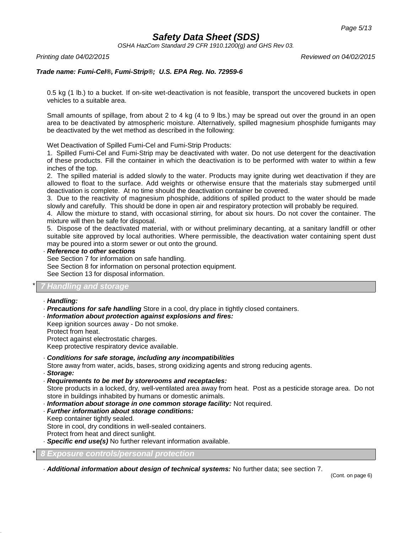*OSHA HazCom Standard 29 CFR 1910.1200(g) and GHS Rev 03.*

*Printing date 04/02/2015 Reviewed on 04/02/2015*

# *Trade name: Fumi-Cel®, Fumi-Strip®; U.S. EPA Reg. No. 72959-6*

0.5 kg (1 lb.) to a bucket. If on-site wet-deactivation is not feasible, transport the uncovered buckets in open vehicles to a suitable area.

Small amounts of spillage, from about 2 to 4 kg (4 to 9 lbs.) may be spread out over the ground in an open area to be deactivated by atmospheric moisture. Alternatively, spilled magnesium phosphide fumigants may be deactivated by the wet method as described in the following:

Wet Deactivation of Spilled Fumi-Cel and Fumi-Strip Products:

1. Spilled Fumi-Cel and Fumi-Strip may be deactivated with water. Do not use detergent for the deactivation of these products. Fill the container in which the deactivation is to be performed with water to within a few inches of the top.

2. The spilled material is added slowly to the water. Products may ignite during wet deactivation if they are allowed to float to the surface. Add weights or otherwise ensure that the materials stay submerged until deactivation is complete. At no time should the deactivation container be covered.

3. Due to the reactivity of magnesium phosphide, additions of spilled product to the water should be made slowly and carefully. This should be done in open air and respiratory protection will probably be required.

4. Allow the mixture to stand, with occasional stirring, for about six hours. Do not cover the container. The mixture will then be safe for disposal.

5. Dispose of the deactivated material, with or without preliminary decanting, at a sanitary landfill or other suitable site approved by local authorities. Where permissible, the deactivation water containing spent dust may be poured into a storm sewer or out onto the ground.

#### · *Reference to other sections*

See Section 7 for information on safe handling.

See Section 8 for information on personal protection equipment. See Section 13 for disposal information.

# *Aandling and storage*

#### · *Handling:*

- · *Precautions for safe handling* Store in a cool, dry place in tightly closed containers.
- · *Information about protection against explosions and fires:*

Keep ignition sources away - Do not smoke. Protect from heat.

Protect against electrostatic charges.

Keep protective respiratory device available.

- · *Conditions for safe storage, including any incompatibilities*
- Store away from water, acids, bases, strong oxidizing agents and strong reducing agents.
- · *Storage:*
- · *Requirements to be met by storerooms and receptacles:*

Store products in a locked, dry, well-ventilated area away from heat. Post as a pesticide storage area. Do not store in buildings inhabited by humans or domestic animals.

- · *Information about storage in one common storage facility:* Not required.
- · *Further information about storage conditions:*

Keep container tightly sealed.

Store in cool, dry conditions in well-sealed containers.

Protect from heat and direct sunlight.

· *Specific end use(s)* No further relevant information available.

\* *8 Exposure controls/personal protection*

· *Additional information about design of technical systems:* No further data; see section 7.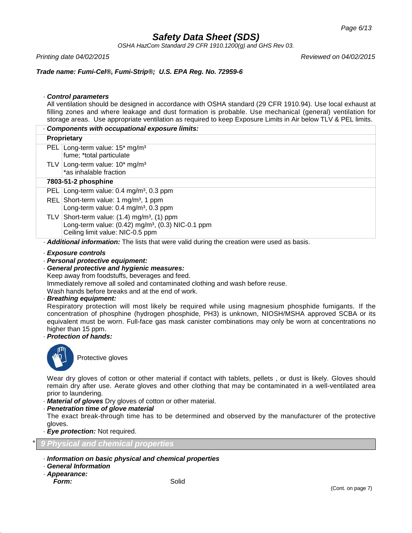*OSHA HazCom Standard 29 CFR 1910.1200(g) and GHS Rev 03.*

*Printing date 04/02/2015 Reviewed on 04/02/2015*

## *Trade name: Fumi-Cel®, Fumi-Strip®; U.S. EPA Reg. No. 72959-6*

### · *Control parameters*

All ventilation should be designed in accordance with OSHA standard (29 CFR 1910.94). Use local exhaust at filling zones and where leakage and dust formation is probable. Use mechanical (general) ventilation for storage areas. Use appropriate ventilation as required to keep Exposure Limits in Air below TLV & PEL limits.

| Components with occupational exposure limits:                                             |                                                                                                                                                                  |  |
|-------------------------------------------------------------------------------------------|------------------------------------------------------------------------------------------------------------------------------------------------------------------|--|
| Proprietary                                                                               |                                                                                                                                                                  |  |
|                                                                                           | PEL Long-term value: 15 <sup>*</sup> mg/m <sup>3</sup><br>fume; *total particulate                                                                               |  |
|                                                                                           | TLV Long-term value: 10* mg/m <sup>3</sup><br>*as inhalable fraction                                                                                             |  |
| 7803-51-2 phosphine                                                                       |                                                                                                                                                                  |  |
| <b>PEL</b>                                                                                | Long-term value: $0.4 \text{ mg/m}^3$ , $0.3 \text{ ppm}$                                                                                                        |  |
|                                                                                           | REL Short-term value: 1 mg/m <sup>3</sup> , 1 ppm<br>Long-term value: $0.4 \text{ mg/m}^3$ , $0.3 \text{ ppm}$                                                   |  |
|                                                                                           | TLV Short-term value: $(1.4)$ mg/m <sup>3</sup> , $(1)$ ppm<br>Long-term value: (0.42) mg/m <sup>3</sup> , (0.3) NIC-0.1 ppm<br>Ceiling limit value: NIC-0.5 ppm |  |
| Additional information: The lists that were valid during the creation were used as basis. |                                                                                                                                                                  |  |

### · *Exposure controls*

### · *Personal protective equipment:*

- · *General protective and hygienic measures:*
- Keep away from foodstuffs, beverages and feed.

Immediately remove all soiled and contaminated clothing and wash before reuse.

Wash hands before breaks and at the end of work.

#### · *Breathing equipment:*

Respiratory protection will most likely be required while using magnesium phosphide fumigants. If the concentration of phosphine (hydrogen phosphide, PH3) is unknown, NIOSH/MSHA approved SCBA or its equivalent must be worn. Full-face gas mask canister combinations may only be worn at concentrations no higher than 15 ppm.

## · *Protection of hands:*



Protective gloves

Wear dry gloves of cotton or other material if contact with tablets, pellets , or dust is likely. Gloves should remain dry after use. Aerate gloves and other clothing that may be contaminated in a well-ventilated area prior to laundering.

- · *Material of gloves* Dry gloves of cotton or other material.
- · *Penetration time of glove material*

The exact break-through time has to be determined and observed by the manufacturer of the protective gloves.

· *Eye protection:* Not required.

\* *9 Physical and chemical properties*

- · *Information on basic physical and chemical properties*
- · *General Information*
- · *Appearance:*

*Form:* Solid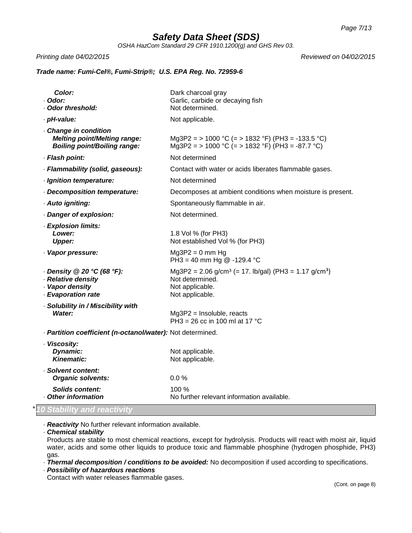*OSHA HazCom Standard 29 CFR 1910.1200(g) and GHS Rev 03.*

*Printing date 04/02/2015 Reviewed on 04/02/2015*

# *Trade name: Fumi-Cel®, Fumi-Strip®; U.S. EPA Reg. No. 72959-6*

| Color:<br>· Odor:<br>Odor threshold:                                                              | Dark charcoal gray<br>Garlic, carbide or decaying fish<br>Not determined.                                                              |
|---------------------------------------------------------------------------------------------------|----------------------------------------------------------------------------------------------------------------------------------------|
| · pH-value:                                                                                       | Not applicable.                                                                                                                        |
| Change in condition<br><b>Melting point/Melting range:</b><br><b>Boiling point/Boiling range:</b> | Mg3P2 = > 1000 °C (= > 1832 °F) (PH3 = -133.5 °C)<br>Mg3P2 = > 1000 °C (= > 1832 °F) (PH3 = -87.7 °C)                                  |
| · Flash point:                                                                                    | Not determined                                                                                                                         |
| · Flammability (solid, gaseous):                                                                  | Contact with water or acids liberates flammable gases.                                                                                 |
| · Ignition temperature:                                                                           | Not determined                                                                                                                         |
| - Decomposition temperature:                                                                      | Decomposes at ambient conditions when moisture is present.                                                                             |
| · Auto igniting:                                                                                  | Spontaneously flammable in air.                                                                                                        |
| Danger of explosion:                                                                              | Not determined.                                                                                                                        |
| · Explosion limits:<br>Lower:<br><b>Upper:</b>                                                    | 1.8 Vol % (for PH3)<br>Not established Vol % (for PH3)                                                                                 |
| · Vapor pressure:                                                                                 | $Mg3P2 = 0$ mm Hg<br>PH3 = 40 mm Hg $@ -129.4 °C$                                                                                      |
| $\cdot$ Density @ 20 °C (68 °F):<br>· Relative density<br>· Vapor density<br>- Evaporation rate   | Mg3P2 = 2.06 g/cm <sup>3</sup> (= 17. lb/gal) (PH3 = 1.17 g/cm <sup>3</sup> )<br>Not determined.<br>Not applicable.<br>Not applicable. |
| · Solubility in / Miscibility with<br>Water:                                                      | $Mg3P2 = Insoluble, reacts$<br>PH3 = 26 cc in 100 ml at 17 °C                                                                          |
| - Partition coefficient (n-octanol/water): Not determined.                                        |                                                                                                                                        |
| · Viscosity:<br>Dynamic:<br><b>Kinematic:</b>                                                     | Not applicable.<br>Not applicable.                                                                                                     |
| · Solvent content:<br><b>Organic solvents:</b>                                                    | 0.0 %                                                                                                                                  |
| <b>Solids content:</b><br><b>Other information</b>                                                | 100%<br>No further relevant information available.                                                                                     |
| <b><i><u>B. B. B. B.</u></i></b>                                                                  |                                                                                                                                        |

# \**10 Stability and reactivity*

· *Reactivity* No further relevant information available.

· *Chemical stability*

Products are stable to most chemical reactions, except for hydrolysis. Products will react with moist air, liquid water, acids and some other liquids to produce toxic and flammable phosphine (hydrogen phosphide, PH3) gas.

· *Thermal decomposition / conditions to be avoided:* No decomposition if used according to specifications.

· *Possibility of hazardous reactions*

Contact with water releases flammable gases.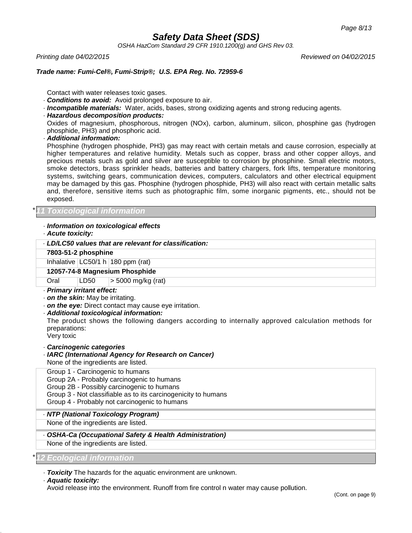*OSHA HazCom Standard 29 CFR 1910.1200(g) and GHS Rev 03.*

*Printing date 04/02/2015 Reviewed on 04/02/2015*

## *Trade name: Fumi-Cel®, Fumi-Strip®; U.S. EPA Reg. No. 72959-6*

Contact with water releases toxic gases.

- · *Conditions to avoid:* Avoid prolonged exposure to air.
- · *Incompatible materials:* Water, acids, bases, strong oxidizing agents and strong reducing agents.
- · *Hazardous decomposition products:*

Oxides of magnesium, phosphorous, nitrogen (NOx), carbon, aluminum, silicon, phosphine gas (hydrogen phosphide, PH3) and phosphoric acid.

· *Additional information:*

Phosphine (hydrogen phosphide, PH3) gas may react with certain metals and cause corrosion, especially at higher temperatures and relative humidity. Metals such as copper, brass and other copper alloys, and precious metals such as gold and silver are susceptible to corrosion by phosphine. Small electric motors, smoke detectors, brass sprinkler heads, batteries and battery chargers, fork lifts, temperature monitoring systems, switching gears, communication devices, computers, calculators and other electrical equipment may be damaged by this gas. Phosphine (hydrogen phosphide, PH3) will also react with certain metallic salts and, therefore, sensitive items such as photographic film, some inorganic pigments, etc., should not be exposed.

# \**11 Toxicological information*

## · *Information on toxicological effects*

· *Acute toxicity:*

| 1.9419107191177                                                                                                                                                                                                                                                                           |  |  |  |  |
|-------------------------------------------------------------------------------------------------------------------------------------------------------------------------------------------------------------------------------------------------------------------------------------------|--|--|--|--|
| . LD/LC50 values that are relevant for classification:                                                                                                                                                                                                                                    |  |  |  |  |
| 7803-51-2 phosphine                                                                                                                                                                                                                                                                       |  |  |  |  |
| Inhalative $LC50/1 h$ 180 ppm (rat)                                                                                                                                                                                                                                                       |  |  |  |  |
| 12057-74-8 Magnesium Phosphide                                                                                                                                                                                                                                                            |  |  |  |  |
| LD50<br>> 5000 mg/kg (rat)<br>Oral                                                                                                                                                                                                                                                        |  |  |  |  |
| · Primary irritant effect:<br>. on the skin: May be irritating.<br>. on the eye: Direct contact may cause eye irritation.<br>· Additional toxicological information:<br>The product shows the following dangers according to internally approved calculation methods for<br>preparations: |  |  |  |  |

Very toxic

- · *Carcinogenic categories*
- · *IARC (International Agency for Research on Cancer)* None of the ingredients are listed.

Group 1 - Carcinogenic to humans Group 2A - Probably carcinogenic to humans Group 2B - Possibly carcinogenic to humans Group 3 - Not classifiable as to its carcinogenicity to humans Group 4 - Probably not carcinogenic to humans

· *NTP (National Toxicology Program)*

None of the ingredients are listed.

- · *OSHA-Ca (Occupational Safety & Health Administration)*
- None of the ingredients are listed.

\**12 Ecological information*

· *Toxicity* The hazards for the aquatic environment are unknown.

#### · *Aquatic toxicity:*

Avoid release into the environment. Runoff from fire control n water may cause pollution.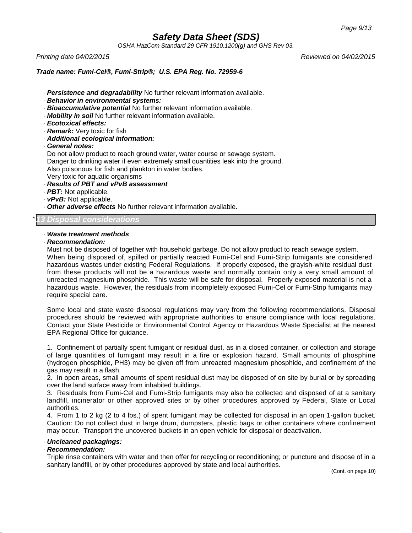*OSHA HazCom Standard 29 CFR 1910.1200(g) and GHS Rev 03.*

*Printing date 04/02/2015 Reviewed on 04/02/2015*

# *Trade name: Fumi-Cel®, Fumi-Strip®; U.S. EPA Reg. No. 72959-6*

- · *Persistence and degradability* No further relevant information available.
- · *Behavior in environmental systems:*
- · *Bioaccumulative potential* No further relevant information available.
- · *Mobility in soil* No further relevant information available.
- · *Ecotoxical effects:*
- · *Remark:* Very toxic for fish
- · *Additional ecological information:*
- · *General notes:*

Do not allow product to reach ground water, water course or sewage system. Danger to drinking water if even extremely small quantities leak into the ground. Also poisonous for fish and plankton in water bodies. Very toxic for aquatic organisms

- · *Results of PBT and vPvB assessment*
- · *PBT:* Not applicable.
- · *vPvB:* Not applicable.
- · *Other adverse effects* No further relevant information available.

# \**13 Disposal considerations*

## · *Waste treatment methods*

· *Recommendation:*

Must not be disposed of together with household garbage. Do not allow product to reach sewage system. When being disposed of, spilled or partially reacted Fumi-Cel and Fumi-Strip fumigants are considered hazardous wastes under existing Federal Regulations. If properly exposed, the grayish-white residual dust from these products will not be a hazardous waste and normally contain only a very small amount of unreacted magnesium phosphide. This waste will be safe for disposal. Properly exposed material is not a hazardous waste. However, the residuals from incompletely exposed Fumi-Cel or Fumi-Strip fumigants may require special care.

Some local and state waste disposal regulations may vary from the following recommendations. Disposal procedures should be reviewed with appropriate authorities to ensure compliance with local regulations. Contact your State Pesticide or Environmental Control Agency or Hazardous Waste Specialist at the nearest EPA Regional Office for guidance.

1. Confinement of partially spent fumigant or residual dust, as in a closed container, or collection and storage of large quantities of fumigant may result in a fire or explosion hazard. Small amounts of phosphine (hydrogen phosphide, PH3) may be given off from unreacted magnesium phosphide, and confinement of the gas may result in a flash.

2. In open areas, small amounts of spent residual dust may be disposed of on site by burial or by spreading over the land surface away from inhabited buildings.

3. Residuals from Fumi-Cel and Fumi-Strip fumigants may also be collected and disposed of at a sanitary landfill, incinerator or other approved sites or by other procedures approved by Federal, State or Local authorities.

4. From 1 to 2 kg (2 to 4 lbs.) of spent fumigant may be collected for disposal in an open 1-gallon bucket. Caution: Do not collect dust in large drum, dumpsters, plastic bags or other containers where confinement may occur. Transport the uncovered buckets in an open vehicle for disposal or deactivation.

## · *Uncleaned packagings:*

## · *Recommendation:*

Triple rinse containers with water and then offer for recycling or reconditioning; or puncture and dispose of in a sanitary landfill, or by other procedures approved by state and local authorities.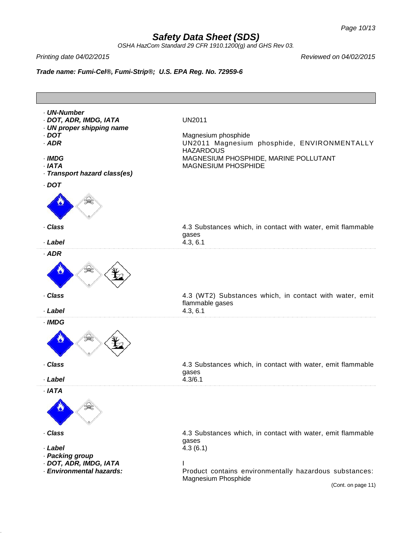*OSHA HazCom Standard 29 CFR 1910.1200(g) and GHS Rev 03.*

*Printing date 04/02/2015 Reviewed on 04/02/2015*

*Trade name: Fumi-Cel®, Fumi-Strip®; U.S. EPA Reg. No. 72959-6*

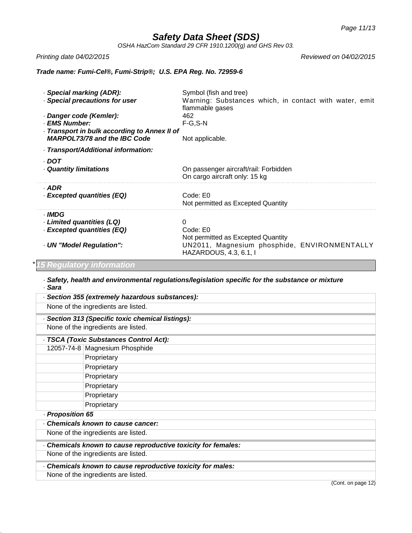*OSHA HazCom Standard 29 CFR 1910.1200(g) and GHS Rev 03.*

*Printing date 04/02/2015 Reviewed on 04/02/2015*

# *Trade name: Fumi-Cel®, Fumi-Strip®; U.S. EPA Reg. No. 72959-6*

| - Special marking (ADR):<br>· Special precautions for user                                  | Symbol (fish and tree)<br>Warning: Substances which, in contact with water, emit<br>flammable gases                           |
|---------------------------------------------------------------------------------------------|-------------------------------------------------------------------------------------------------------------------------------|
| · Danger code (Kemler):<br>· EMS Number:                                                    | 462<br>$F-G, S-N$                                                                                                             |
| Transport in bulk according to Annex II of<br><b>MARPOL73/78 and the IBC Code</b>           | Not applicable.                                                                                                               |
| Transport/Additional information:                                                           |                                                                                                                               |
| DOT -<br>Quantity limitations                                                               | On passenger aircraft/rail: Forbidden<br>On cargo aircraft only: 15 kg                                                        |
| · ADR<br>· Excepted quantities (EQ)                                                         | Code: E0<br>Not permitted as Excepted Quantity                                                                                |
| · IMDG<br>Limited quantities (LQ)<br>- Excepted quantities (EQ)<br>- UN "Model Regulation": | 0<br>Code: E0<br>Not permitted as Excepted Quantity<br>UN2011, Magnesium phosphide, ENVIRONMENTALLY<br>HAZARDOUS, 4.3, 6.1, I |

# \**15 Regulatory information*

· *Safety, health and environmental regulations/legislation specific for the substance or mixture* · *Sara*

| · Section 355 (extremely hazardous substances):             |  |  |  |
|-------------------------------------------------------------|--|--|--|
| None of the ingredients are listed.                         |  |  |  |
| · Section 313 (Specific toxic chemical listings):           |  |  |  |
| None of the ingredients are listed.                         |  |  |  |
| - TSCA (Toxic Substances Control Act):                      |  |  |  |
| 12057-74-8 Magnesium Phosphide                              |  |  |  |
| Proprietary                                                 |  |  |  |
| Proprietary                                                 |  |  |  |
| Proprietary                                                 |  |  |  |
| Proprietary                                                 |  |  |  |
| Proprietary                                                 |  |  |  |
| Proprietary                                                 |  |  |  |
| - Proposition 65                                            |  |  |  |
| Chemicals known to cause cancer:                            |  |  |  |
| None of the ingredients are listed.                         |  |  |  |
| Chemicals known to cause reproductive toxicity for females: |  |  |  |
| None of the ingredients are listed.                         |  |  |  |
| Chemicals known to cause reproductive toxicity for males:   |  |  |  |
| None of the ingredients are listed.                         |  |  |  |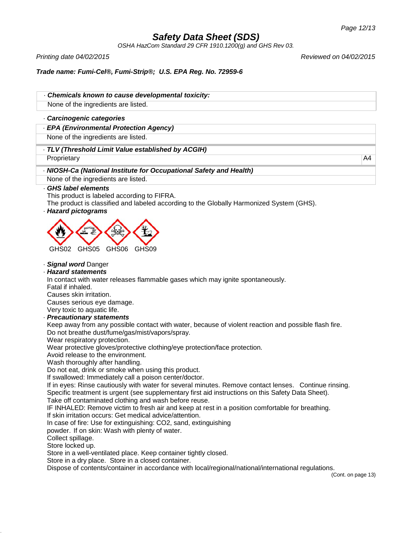*OSHA HazCom Standard 29 CFR 1910.1200(g) and GHS Rev 03.*

*Printing date 04/02/2015 Reviewed on 04/02/2015*

# *Trade name: Fumi-Cel®, Fumi-Strip®; U.S. EPA Reg. No. 72959-6*

· *Chemicals known to cause developmental toxicity:*

None of the ingredients are listed.

## · *Carcinogenic categories*

· *EPA (Environmental Protection Agency)*

None of the ingredients are listed.

### · *TLV (Threshold Limit Value established by ACGIH)*

Proprietary A4 and the contract of the contract of the contract of the contract of the contract of the contract of the contract of the contract of the contract of the contract of the contract of the contract of the contrac

· *NIOSH-Ca (National Institute for Occupational Safety and Health)*

None of the ingredients are listed.

### · *GHS label elements*

This product is labeled according to FIFRA.

The product is classified and labeled according to the Globally Harmonized System (GHS).

# · *Hazard pictograms*



· *Signal word* Danger

## · *Hazard statements*

In contact with water releases flammable gases which may ignite spontaneously.

Fatal if inhaled.

Causes skin irritation.

Causes serious eye damage.

Very toxic to aquatic life.

## · *Precautionary statements*

Keep away from any possible contact with water, because of violent reaction and possible flash fire. Do not breathe dust/fume/gas/mist/vapors/spray.

Wear respiratory protection.

Wear protective gloves/protective clothing/eye protection/face protection.

Avoid release to the environment.

Wash thoroughly after handling.

Do not eat, drink or smoke when using this product.

If swallowed: Immediately call a poison center/doctor.

If in eyes: Rinse cautiously with water for several minutes. Remove contact lenses. Continue rinsing. Specific treatment is urgent (see supplementary first aid instructions on this Safety Data Sheet).

Take off contaminated clothing and wash before reuse.

IF INHALED: Remove victim to fresh air and keep at rest in a position comfortable for breathing.

If skin irritation occurs: Get medical advice/attention.

In case of fire: Use for extinguishing: CO2, sand, extinguishing

powder. If on skin: Wash with plenty of water.

Collect spillage.

Store locked up.

Store in a well-ventilated place. Keep container tightly closed.

Store in a dry place. Store in a closed container.

Dispose of contents/container in accordance with local/regional/national/international regulations.

(Cont. on page 13)